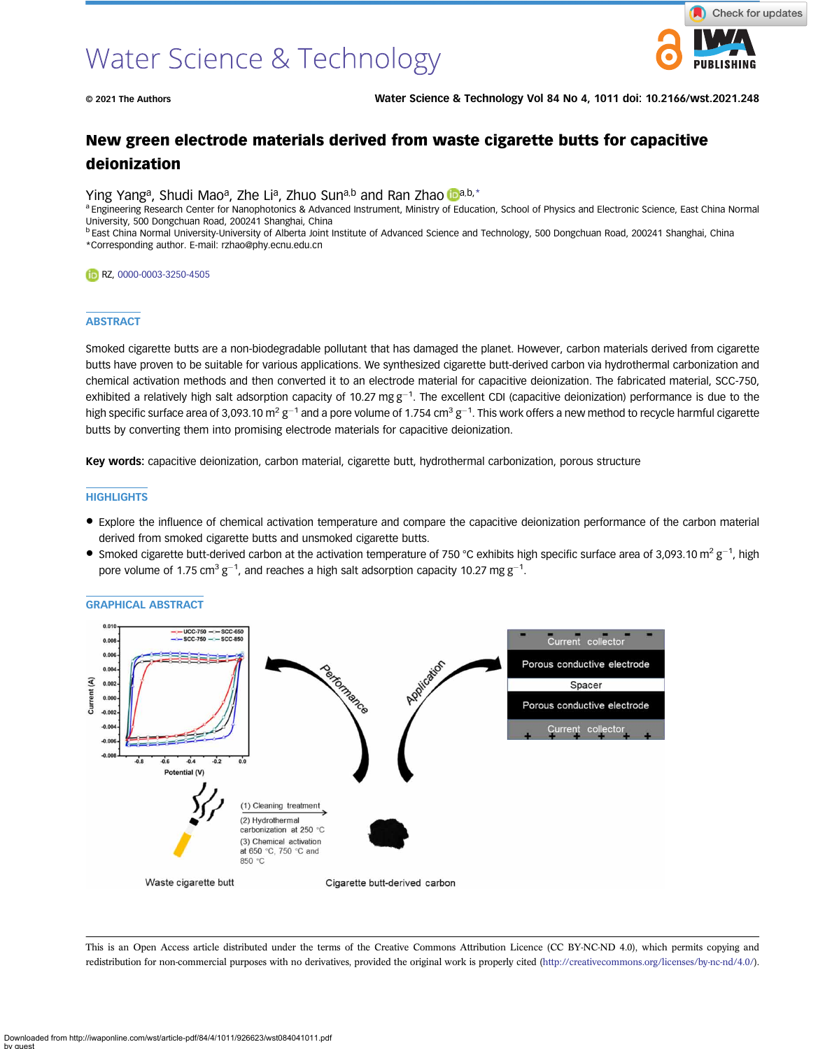

© 2021 The Authors Water Science & Technology Vol 84 No 4, 1011 doi: 10.2166/wst.2021.248

# New green electrode materials derived from waste cigarette butts for capacitive deionization

Ying Y[a](https://orcid.org/0000-0003-3250-4505)ng<sup>a</sup>, Shudi Mao<sup>a</sup>, Zhe Li<sup>a</sup>, Zhuo Sun<sup>a,b</sup> and Ran Zhao Da,b,\*

a Engineering Research Center for Nanophotonics & Advanced Instrument, Ministry of Education, School of Physics and Electronic Science, East China Normal University, 500 Dongchuan Road, 200241 Shanghai, China

<sup>b</sup> East China Normal University-University of Alberta Joint Institute of Advanced Science and Technology, 500 Dongchuan Road, 200241 Shanghai, China \*Corresponding author. E-mail: [rzhao@phy.ecnu.edu.cn](mailto:rzhao@phy.ecnu.edu.cn)

RZ, [0000-0003-3250-4505](http://orcid.org/0000-0003-3250-4505)

#### **ABSTRACT**

Smoked cigarette butts are a non-biodegradable pollutant that has damaged the planet. However, carbon materials derived from cigarette butts have proven to be suitable for various applications. We synthesized cigarette butt-derived carbon via hydrothermal carbonization and chemical activation methods and then converted it to an electrode material for capacitive deionization. The fabricated material, SCC-750, exhibited a relatively high salt adsorption capacity of 10.27 mg  $g^{-1}$ . The excellent CDI (capacitive deionization) performance is due to the high specific surface area of 3,093.10 m<sup>2</sup> g<sup>–1</sup> and a pore volume of 1.754 cm<sup>3</sup> g<sup>–1</sup>. This work offers a new method to recycle harmful cigarette butts by converting them into promising electrode materials for capacitive deionization.

Key words: capacitive deionization, carbon material, cigarette butt, hydrothermal carbonization, porous structure

## **HIGHLIGHTS**

- Explore the influence of chemical activation temperature and compare the capacitive deionization performance of the carbon material derived from smoked cigarette butts and unsmoked cigarette butts.
- Smoked cigarette butt-derived carbon at the activation temperature of 750 °C exhibits high specific surface area of 3,093.10 m<sup>2</sup> g<sup>-1</sup>, high pore volume of 1.75 cm<sup>3</sup> g<sup>-1</sup>, and reaches a high salt adsorption capacity 10.27 mg g<sup>-1</sup>.



GRAPHICAL ABSTRACT

This is an Open Access article distributed under the terms of the Creative Commons Attribution Licence (CC BY-NC-ND 4.0), which permits copying and redistribution for non-commercial purposes with no derivatives, provided the original work is properly cited ([http://creativecommons.org/licenses/by-nc-nd/4.0/\)](http://creativecommons.org/licenses/by-nc-nd/4.0/).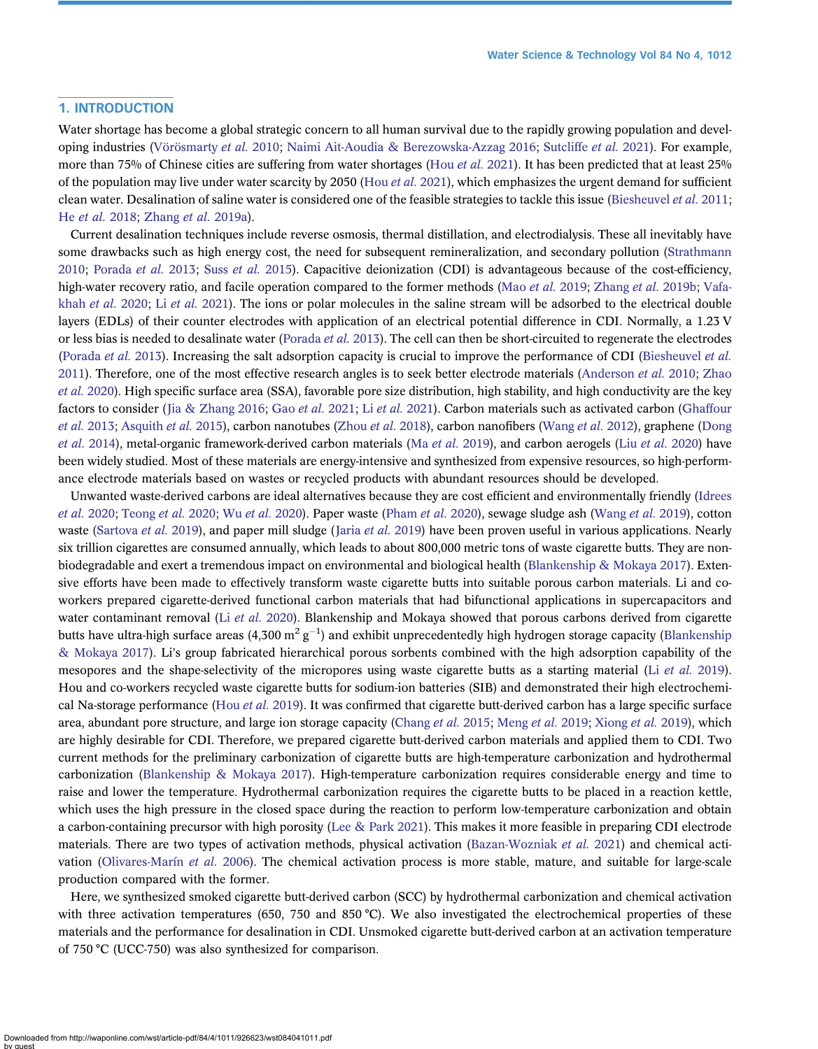# 1. INTRODUCTION

Water shortage has become a global strategic concern to all human survival due to the rapidly growing population and developing industries [\(Vörösmarty](#page-10-0) et al. 2010; [Naimi Ait-Aoudia & Berezowska-Azzag 2016](#page-10-0); [Sutcliffe](#page-10-0) et al. 2021). For example, more than 75% of Chinese cities are suffering from water shortages (Hou *et al.* [2021](#page-10-0)). It has been predicted that at least 25% of the population may live under water scarcity by 2050 (Hou et al. [2021](#page-10-0)), which emphasizes the urgent demand for sufficient clean water. Desalination of saline water is considered one of the feasible strategies to tackle this issue ([Biesheuvel](#page-9-0) et al. 2011; He et al. [2018;](#page-10-0) [Zhang](#page-11-0) et al. 2019a).

Current desalination techniques include reverse osmosis, thermal distillation, and electrodialysis. These all inevitably have some drawbacks such as high energy cost, the need for subsequent remineralization, and secondary pollution ([Strathmann](#page-10-0) [2010](#page-10-0); [Porada](#page-10-0) [et al.](#page-10-0) 2013; Suss et al. 2015). Capacitive deionization (CDI) is advantageous because of the cost-efficiency, high-water recovery ratio, and facile operation compared to the former methods (Mao *[et al.](#page-10-0)* 2019; [Zhang](#page-11-0) *et al.* 2019b; [Vafa](#page-10-0)[khah](#page-10-0) et al. 2020; Li et al. [2021\)](#page-10-0). The ions or polar molecules in the saline stream will be adsorbed to the electrical double layers (EDLs) of their counter electrodes with application of an electrical potential difference in CDI. Normally, a 1.23 V or less bias is needed to desalinate water ([Porada](#page-10-0) *et al.* 2013). The cell can then be short-circuited to regenerate the electrodes ([Porada](#page-10-0) et al. 2013). Increasing the salt adsorption capacity is crucial to improve the performance of CDI ([Biesheuvel](#page-9-0) et al. [2011](#page-9-0)). Therefore, one of the most effective research angles is to seek better electrode materials ([Anderson](#page-9-0) *et al.* 2010; [Zhao](#page-11-0) et al. [2020](#page-11-0)). High specific surface area (SSA), favorable pore size distribution, high stability, and high conductivity are the key factors to consider ([Jia & Zhang 2016](#page-10-0); Gao et al. [2021;](#page-9-0) Li et al. [2021](#page-10-0)). Carbon materials such as activated carbon [\(Ghaffour](#page-9-0) et al. [2013](#page-9-0); [Asquith](#page-9-0) et al. 2015), carbon nanotubes ([Zhou](#page-11-0) et al. 2018), carbon nanofibers [\(Wang](#page-10-0) et al. 2012), graphene [\(Dong](#page-9-0) et al. [2014](#page-9-0)), metal-organic framework-derived carbon materials (Ma et al. [2019\)](#page-10-0), and carbon aerogels (Liu [et al.](#page-10-0) 2020) have been widely studied. Most of these materials are energy-intensive and synthesized from expensive resources, so high-performance electrode materials based on wastes or recycled products with abundant resources should be developed.

Unwanted waste-derived carbons are ideal alternatives because they are cost efficient and environmentally friendly ([Idrees](#page-10-0) et al. [2020;](#page-10-0) [Teong](#page-10-0) et al. 2020; Wu et al. [2020](#page-11-0)). Paper waste ([Pham](#page-10-0) et al. 2020), sewage sludge ash ([Wang](#page-11-0) et al. 2019), cotton waste ([Sartova](#page-10-0) et al. [2019](#page-10-0)), and paper mill sludge (Jaria et al. 2019) have been proven useful in various applications. Nearly six trillion cigarettes are consumed annually, which leads to about 800,000 metric tons of waste cigarette butts. They are nonbiodegradable and exert a tremendous impact on environmental and biological health ([Blankenship & Mokaya 2017\)](#page-9-0). Extensive efforts have been made to effectively transform waste cigarette butts into suitable porous carbon materials. Li and coworkers prepared cigarette-derived functional carbon materials that had bifunctional applications in supercapacitors and water contaminant removal (Li [et al.](#page-10-0) 2020). Blankenship and Mokaya showed that porous carbons derived from cigarette butts have ultra-high surface areas (4,300 m $^2$  g<sup>-1</sup>) and exhibit unprecedentedly high hydrogen storage capacity ([Blankenship](#page-9-0) [& Mokaya 2017](#page-9-0)). Li's group fabricated hierarchical porous sorbents combined with the high adsorption capability of the mesopores and the shape-selectivity of the micropores using waste cigarette butts as a starting material (Li [et al.](#page-10-0) 2019). Hou and co-workers recycled waste cigarette butts for sodium-ion batteries (SIB) and demonstrated their high electrochemi-cal Na-storage performance (Hou et al. [2019](#page-10-0)). It was confirmed that cigarette butt-derived carbon has a large specific surface area, abundant pore structure, and large ion storage capacity [\(Chang](#page-9-0) et al. 2015; [Meng](#page-10-0) et al. 2019; [Xiong](#page-11-0) et al. 2019), which are highly desirable for CDI. Therefore, we prepared cigarette butt-derived carbon materials and applied them to CDI. Two current methods for the preliminary carbonization of cigarette butts are high-temperature carbonization and hydrothermal carbonization [\(Blankenship & Mokaya 2017\)](#page-9-0). High-temperature carbonization requires considerable energy and time to raise and lower the temperature. Hydrothermal carbonization requires the cigarette butts to be placed in a reaction kettle, which uses the high pressure in the closed space during the reaction to perform low-temperature carbonization and obtain a carbon-containing precursor with high porosity ([Lee & Park 2021](#page-10-0)). This makes it more feasible in preparing CDI electrode materials. There are two types of activation methods, physical activation ([Bazan-Wozniak](#page-9-0) et al. 2021) and chemical activation ([Olivares-Marín](#page-10-0) et al. 2006). The chemical activation process is more stable, mature, and suitable for large-scale production compared with the former.

Here, we synthesized smoked cigarette butt-derived carbon (SCC) by hydrothermal carbonization and chemical activation with three activation temperatures (650, 750 and 850 °C). We also investigated the electrochemical properties of these materials and the performance for desalination in CDI. Unsmoked cigarette butt-derived carbon at an activation temperature of 750 °C (UCC-750) was also synthesized for comparison.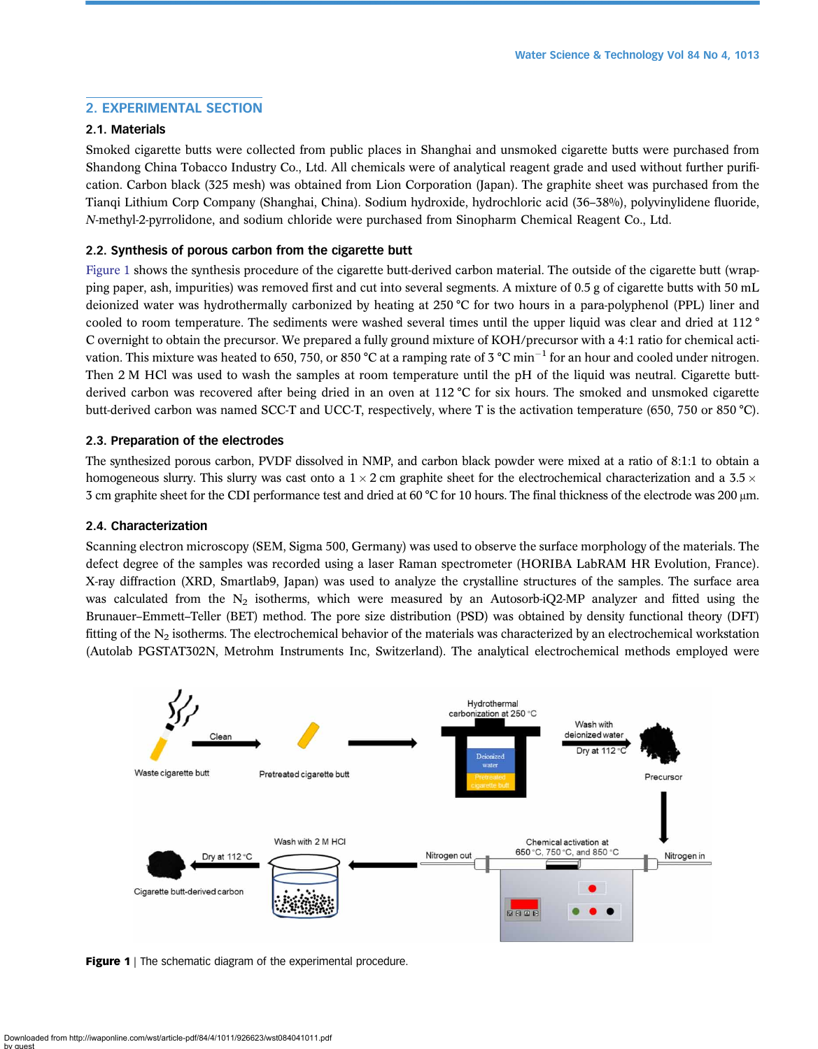# 2. EXPERIMENTAL SECTION

# 2.1. Materials

Smoked cigarette butts were collected from public places in Shanghai and unsmoked cigarette butts were purchased from Shandong China Tobacco Industry Co., Ltd. All chemicals were of analytical reagent grade and used without further purification. Carbon black (325 mesh) was obtained from Lion Corporation (Japan). The graphite sheet was purchased from the Tianqi Lithium Corp Company (Shanghai, China). Sodium hydroxide, hydrochloric acid (36–38%), polyvinylidene fluoride, N-methyl-2-pyrrolidone, and sodium chloride were purchased from Sinopharm Chemical Reagent Co., Ltd.

## 2.2. Synthesis of porous carbon from the cigarette butt

Figure 1 shows the synthesis procedure of the cigarette butt-derived carbon material. The outside of the cigarette butt (wrapping paper, ash, impurities) was removed first and cut into several segments. A mixture of 0.5 g of cigarette butts with 50 mL deionized water was hydrothermally carbonized by heating at 250 °C for two hours in a para-polyphenol (PPL) liner and cooled to room temperature. The sediments were washed several times until the upper liquid was clear and dried at 112 ° C overnight to obtain the precursor. We prepared a fully ground mixture of KOH/precursor with a 4:1 ratio for chemical activation. This mixture was heated to 650, 750, or 850 °C at a ramping rate of 3 °C min<sup>-1</sup> for an hour and cooled under nitrogen. Then 2 M HCl was used to wash the samples at room temperature until the pH of the liquid was neutral. Cigarette buttderived carbon was recovered after being dried in an oven at 112 °C for six hours. The smoked and unsmoked cigarette butt-derived carbon was named SCC-T and UCC-T, respectively, where T is the activation temperature (650, 750 or 850 °C).

## 2.3. Preparation of the electrodes

The synthesized porous carbon, PVDF dissolved in NMP, and carbon black powder were mixed at a ratio of 8:1:1 to obtain a homogeneous slurry. This slurry was cast onto a  $1 \times 2$  cm graphite sheet for the electrochemical characterization and a 3.5  $\times$ 3 cm graphite sheet for the CDI performance test and dried at 60 °C for 10 hours. The final thickness of the electrode was 200 μm.

## 2.4. Characterization

Scanning electron microscopy (SEM, Sigma 500, Germany) was used to observe the surface morphology of the materials. The defect degree of the samples was recorded using a laser Raman spectrometer (HORIBA LabRAM HR Evolution, France). X-ray diffraction (XRD, Smartlab9, Japan) was used to analyze the crystalline structures of the samples. The surface area was calculated from the  $N_2$  isotherms, which were measured by an Autosorb-iQ2-MP analyzer and fitted using the Brunauer–Emmett–Teller (BET) method. The pore size distribution (PSD) was obtained by density functional theory (DFT) fitting of the  $N_2$  isotherms. The electrochemical behavior of the materials was characterized by an electrochemical workstation (Autolab PGSTAT302N, Metrohm Instruments Inc, Switzerland). The analytical electrochemical methods employed were



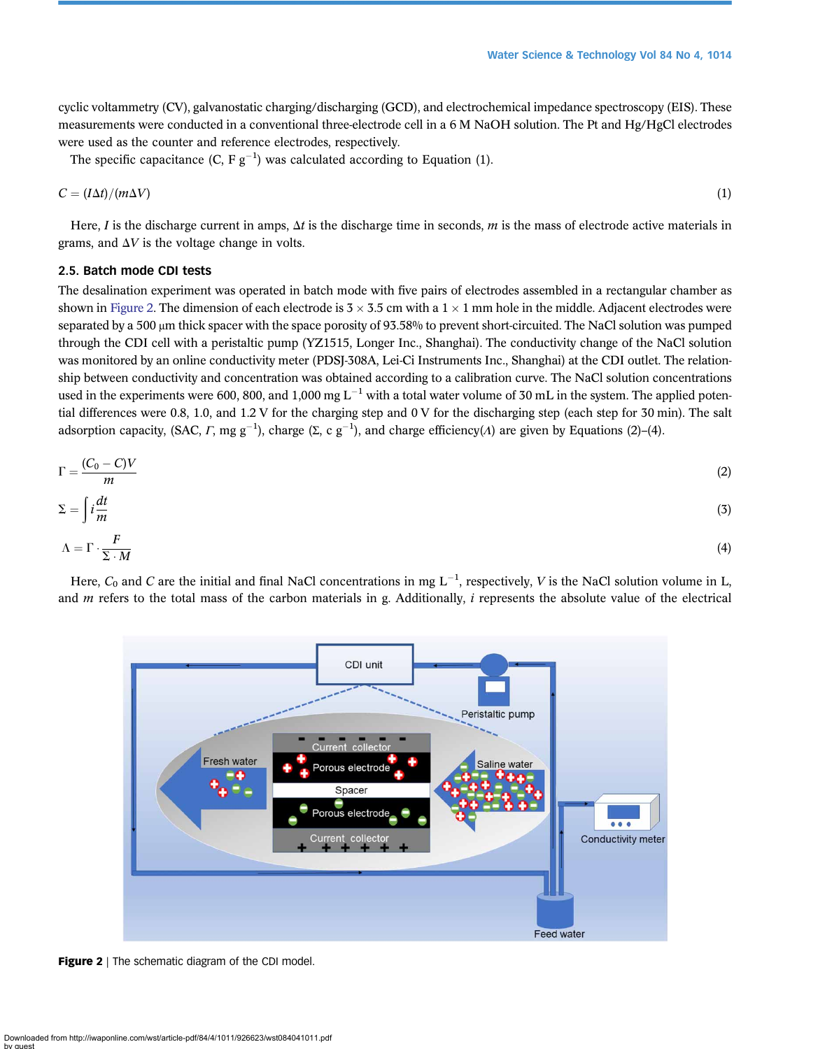cyclic voltammetry (CV), galvanostatic charging/discharging (GCD), and electrochemical impedance spectroscopy (EIS). These measurements were conducted in a conventional three-electrode cell in a 6 M NaOH solution. The Pt and Hg/HgCl electrodes were used as the counter and reference electrodes, respectively.

The specific capacitance  $(C, F g^{-1})$  was calculated according to Equation (1).

$$
C = (I\Delta t)/(m\Delta V) \tag{1}
$$

Here, I is the discharge current in amps,  $\Delta t$  is the discharge time in seconds, m is the mass of electrode active materials in grams, and  $\Delta V$  is the voltage change in volts.

## 2.5. Batch mode CDI tests

The desalination experiment was operated in batch mode with five pairs of electrodes assembled in a rectangular chamber as shown in Figure 2. The dimension of each electrode is  $3 \times 3.5$  cm with a  $1 \times 1$  mm hole in the middle. Adjacent electrodes were separated by a 500 μm thick spacer with the space porosity of 93.58% to prevent short-circuited. The NaCl solution was pumped through the CDI cell with a peristaltic pump (YZ1515, Longer Inc., Shanghai). The conductivity change of the NaCl solution was monitored by an online conductivity meter (PDSJ-308A, Lei-Ci Instruments Inc., Shanghai) at the CDI outlet. The relationship between conductivity and concentration was obtained according to a calibration curve. The NaCl solution concentrations used in the experiments were 600, 800, and 1,000 mg  $L^{-1}$  with a total water volume of 30 mL in the system. The applied potential differences were 0.8, 1.0, and 1.2 V for the charging step and 0 V for the discharging step (each step for 30 min). The salt adsorption capacity, (SAC,  $\Gamma$ , mg g<sup>-1</sup>), charge (Σ, c g<sup>-1</sup>), and charge efficiency( $\Lambda$ ) are given by Equations (2)-(4).

$$
\Gamma = \frac{(C_0 - C)V}{m}
$$
\n
$$
\Sigma = \int i \frac{dt}{m}
$$
\n(3)

$$
\Lambda = \Gamma \cdot \frac{F}{\Sigma \cdot M} \tag{4}
$$

Here,  $C_0$  and C are the initial and final NaCl concentrations in mg  $L^{-1}$ , respectively, V is the NaCl solution volume in L, and  $m$  refers to the total mass of the carbon materials in g. Additionally,  $i$  represents the absolute value of the electrical



Figure 2 | The schematic diagram of the CDI model.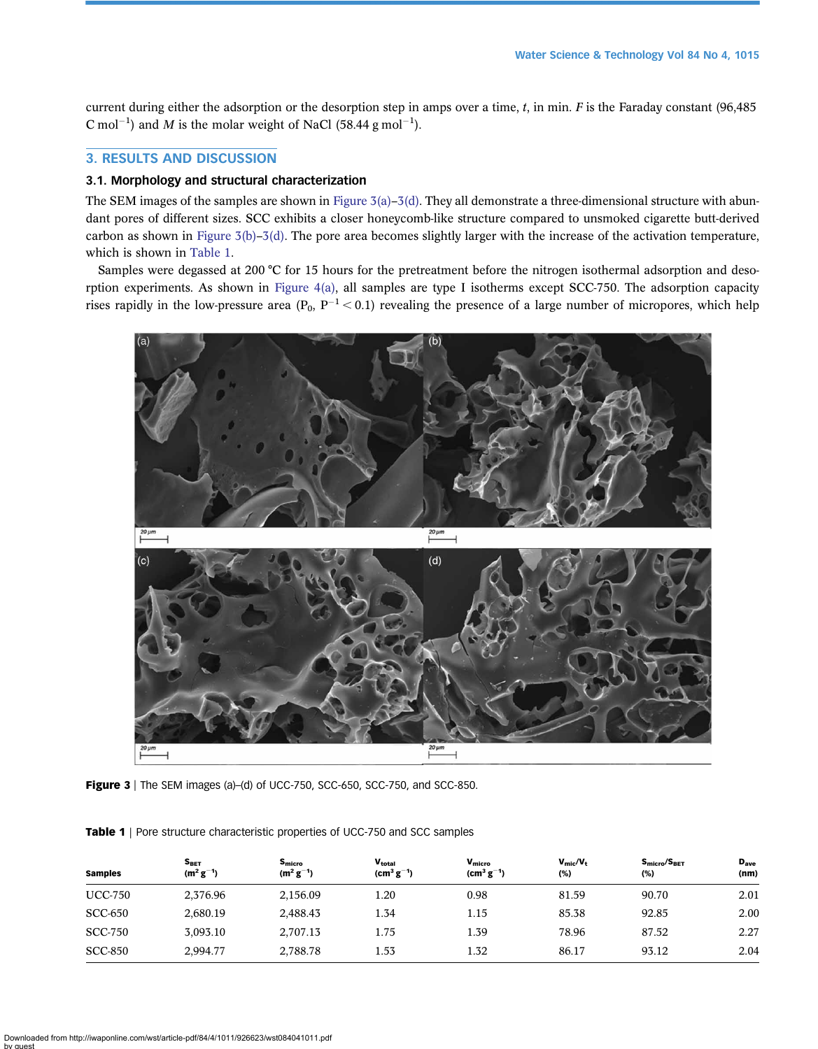<span id="page-4-0"></span>current during either the adsorption or the desorption step in amps over a time,  $t$ , in min.  $F$  is the Faraday constant (96,485) C mol<sup>-1</sup>) and M is the molar weight of NaCl (58.44 g mol<sup>-1</sup>).

# 3. RESULTS AND DISCUSSION

# 3.1. Morphology and structural characterization

The SEM images of the samples are shown in Figure  $3(a)-3(d)$ . They all demonstrate a three-dimensional structure with abundant pores of different sizes. SCC exhibits a closer honeycomb-like structure compared to unsmoked cigarette butt-derived carbon as shown in Figure  $3(b)-3(d)$ . The pore area becomes slightly larger with the increase of the activation temperature, which is shown in Table 1.

Samples were degassed at 200 °C for 15 hours for the pretreatment before the nitrogen isothermal adsorption and desorption experiments. As shown in [Figure 4\(a\),](#page-5-0) all samples are type I isotherms except SCC-750. The adsorption capacity rises rapidly in the low-pressure area ( $P_0$ ,  $P^{-1}$  < 0.1) revealing the presence of a large number of micropores, which help



Figure 3 | The SEM images (a)-(d) of UCC-750, SCC-650, SCC-750, and SCC-850.

|  |  |  | Table 1   Pore structure characteristic properties of UCC-750 and SCC samples |
|--|--|--|-------------------------------------------------------------------------------|
|  |  |  |                                                                               |

| <b>Samples</b> | $S_{\tt BET}$<br>$(m^2 g^{-1})$ | S <sub>micro</sub><br>$(m^2 g^{-1})$ | Vtotal<br>$(cm3 g-1)$ | $V_{micro}$<br>$\rm (cm^3\,g^{-1})$ | $V_{\text{mic}}/V_{\text{t}}$<br>(%) | S <sub>micro</sub> /S <sub>BET</sub><br>(%) | $D_{\text{ave}}$<br>(nm) |
|----------------|---------------------------------|--------------------------------------|-----------------------|-------------------------------------|--------------------------------------|---------------------------------------------|--------------------------|
| <b>UCC-750</b> | 2,376.96                        | 2,156.09                             | 1.20                  | 0.98                                | 81.59                                | 90.70                                       | 2.01                     |
| <b>SCC-650</b> | 2,680.19                        | 2,488.43                             | 1.34                  | 1.15                                | 85.38                                | 92.85                                       | 2.00                     |
| <b>SCC-750</b> | 3,093.10                        | 2,707.13                             | 1.75                  | 1.39                                | 78.96                                | 87.52                                       | 2.27                     |
| <b>SCC-850</b> | 2,994.77                        | 2,788.78                             | 1.53                  | 1.32                                | 86.17                                | 93.12                                       | 2.04                     |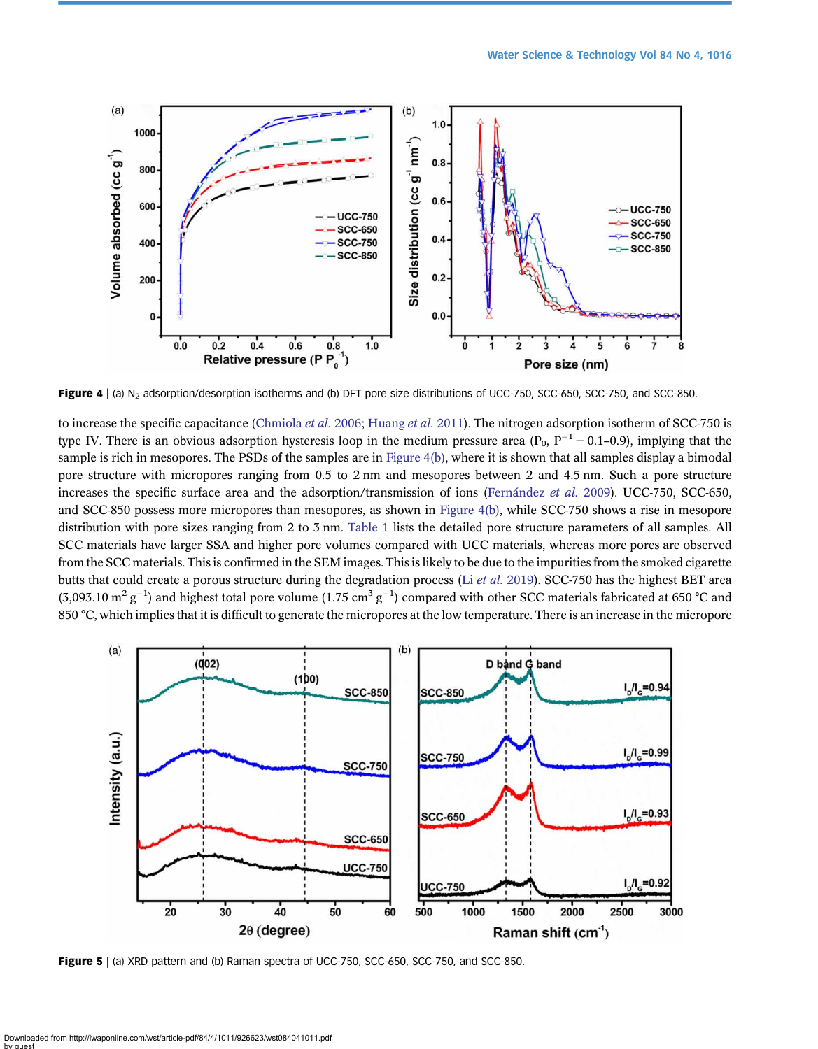<span id="page-5-0"></span>

Figure 4 | (a) N<sub>2</sub> adsorption/desorption isotherms and (b) DFT pore size distributions of UCC-750, SCC-650, SCC-750, and SCC-850.

to increase the specific capacitance ([Chmiola](#page-9-0) et al. 2006; [Huang](#page-10-0) et al. 2011). The nitrogen adsorption isotherm of SCC-750 is type IV. There is an obvious adsorption hysteresis loop in the medium pressure area  $(P_0, P^{-1} = 0.1{\text -}0.9)$ , implying that the sample is rich in mesopores. The PSDs of the samples are in Figure 4(b), where it is shown that all samples display a bimodal pore structure with micropores ranging from 0.5 to 2 nm and mesopores between 2 and 4.5 nm. Such a pore structure increases the specific surface area and the adsorption/transmission of ions [\(Fernández](#page-9-0) et al. 2009). UCC-750, SCC-650, and SCC-850 possess more micropores than mesopores, as shown in Figure 4(b), while SCC-750 shows a rise in mesopore distribution with pore sizes ranging from 2 to 3 nm. [Table 1](#page-4-0) lists the detailed pore structure parameters of all samples. All SCC materials have larger SSA and higher pore volumes compared with UCC materials, whereas more pores are observed from the SCC materials. This is confirmed in the SEM images. This is likely to be due to the impurities from the smoked cigarette butts that could create a porous structure during the degradation process (Li et al. [2019\)](#page-10-0). SCC-750 has the highest BET area (3,093.10 m<sup>2</sup> g<sup>-1</sup>) and highest total pore volume (1.75 cm<sup>3</sup> g<sup>-1</sup>) compared with other SCC materials fabricated at 650 °C and 850 °C, which implies that it is difficult to generate the micropores at the low temperature. There is an increase in the micropore



Figure 5 | (a) XRD pattern and (b) Raman spectra of UCC-750, SCC-650, SCC-750, and SCC-850.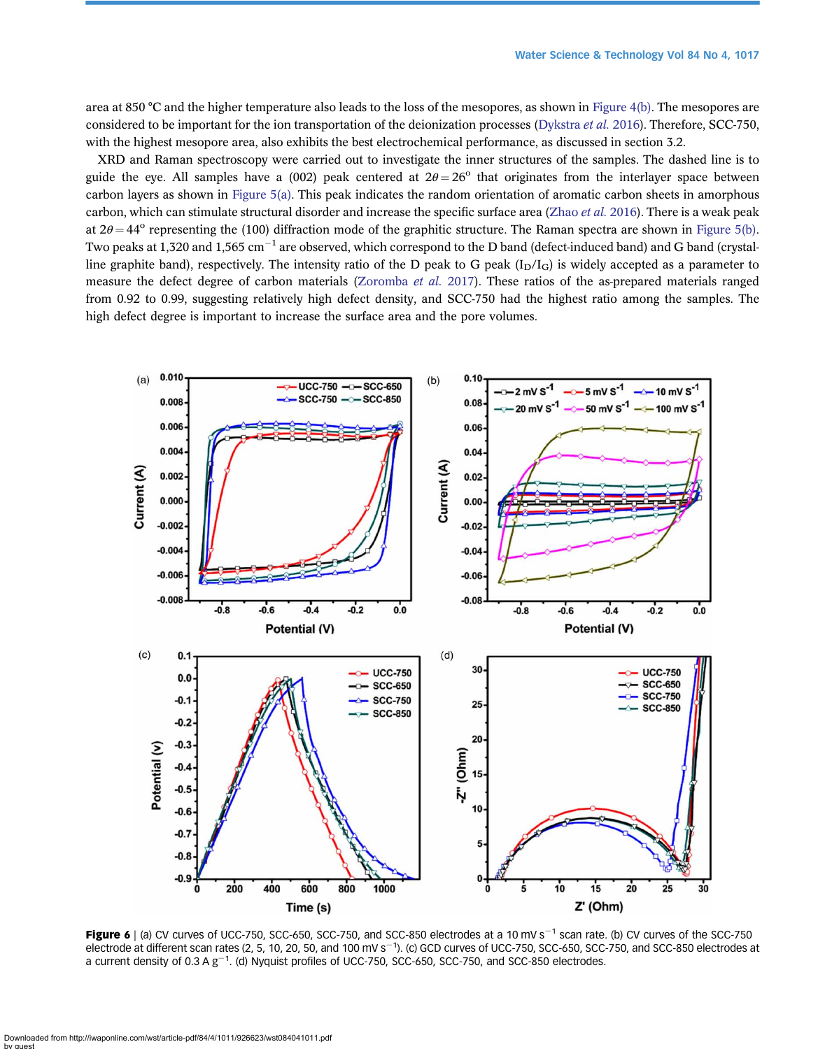<span id="page-6-0"></span>area at 850 °C and the higher temperature also leads to the loss of the mesopores, as shown in [Figure 4\(b\).](#page-5-0) The mesopores are considered to be important for the ion transportation of the deionization processes [\(Dykstra](#page-9-0) et al. 2016). Therefore, SCC-750, with the highest mesopore area, also exhibits the best electrochemical performance, as discussed in section 3.2.

XRD and Raman spectroscopy were carried out to investigate the inner structures of the samples. The dashed line is to guide the eye. All samples have a (002) peak centered at  $2\theta = 26^{\circ}$  that originates from the interlayer space between carbon layers as shown in [Figure 5\(a\)](#page-5-0). This peak indicates the random orientation of aromatic carbon sheets in amorphous carbon, which can stimulate structural disorder and increase the specific surface area [\(Zhao](#page-11-0) et al. 2016). There is a weak peak at  $2\theta = 44^{\circ}$  representing the (100) diffraction mode of the graphitic structure. The Raman spectra are shown in [Figure 5\(b\).](#page-5-0) Two peaks at 1,320 and 1,565 cm<sup>-1</sup> are observed, which correspond to the D band (defect-induced band) and G band (crystalline graphite band), respectively. The intensity ratio of the D peak to G peak  $(I_D/I_G)$  is widely accepted as a parameter to measure the defect degree of carbon materials ([Zoromba](#page-11-0) et al. 2017). These ratios of the as-prepared materials ranged from 0.92 to 0.99, suggesting relatively high defect density, and SCC-750 had the highest ratio among the samples. The high defect degree is important to increase the surface area and the pore volumes.



Figure 6 | (a) CV curves of UCC-750, SCC-650, SCC-750, and SCC-850 electrodes at a 10 mV s<sup>-1</sup> scan rate. (b) CV curves of the SCC-750 electrode at different scan rates (2, 5, 10, 20, 50, and 100 mV s<sup>-1</sup>). (c) GCD curves of UCC-750, SCC-650, SCC-750, and SCC-850 electrodes at a current density of 0.3 A  $g^{-1}$ . (d) Nyquist profiles of UCC-750, SCC-650, SCC-750, and SCC-850 electrodes.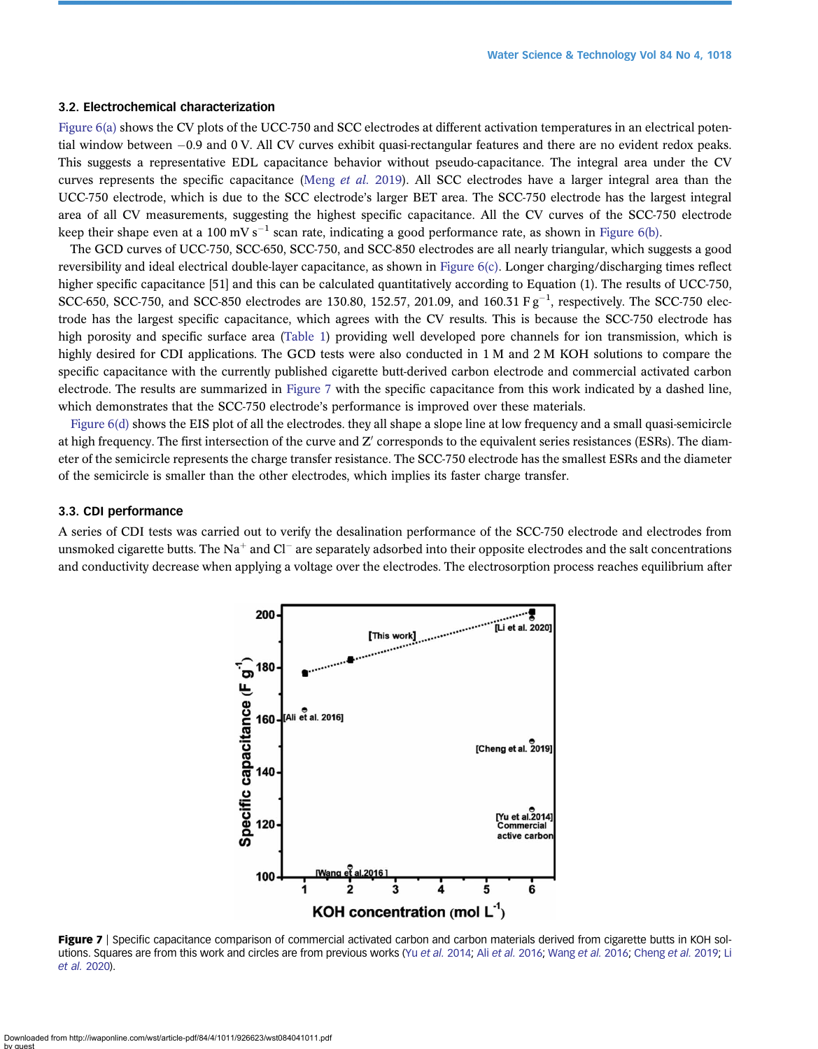#### 3.2. Electrochemical characterization

[Figure 6\(a\)](#page-6-0) shows the CV plots of the UCC-750 and SCC electrodes at different activation temperatures in an electrical potential window between  $-0.9$  and 0 V. All CV curves exhibit quasi-rectangular features and there are no evident redox peaks. This suggests a representative EDL capacitance behavior without pseudo-capacitance. The integral area under the CV curves represents the specific capacitance [\(Meng](#page-10-0) et al. 2019). All SCC electrodes have a larger integral area than the UCC-750 electrode, which is due to the SCC electrode's larger BET area. The SCC-750 electrode has the largest integral area of all CV measurements, suggesting the highest specific capacitance. All the CV curves of the SCC-750 electrode keep their shape even at a 100 mV s<sup>-1</sup> scan rate, indicating a good performance rate, as shown in [Figure 6\(b\).](#page-6-0)

The GCD curves of UCC-750, SCC-650, SCC-750, and SCC-850 electrodes are all nearly triangular, which suggests a good reversibility and ideal electrical double-layer capacitance, as shown in [Figure 6\(c\).](#page-6-0) Longer charging/discharging times reflect higher specific capacitance [51] and this can be calculated quantitatively according to Equation (1). The results of UCC-750, SCC-650, SCC-750, and SCC-850 electrodes are 130.80, 152.57, 201.09, and 160.31  $F g^{-1}$ , respectively. The SCC-750 electrode has the largest specific capacitance, which agrees with the CV results. This is because the SCC-750 electrode has high porosity and specific surface area ([Table 1](#page-4-0)) providing well developed pore channels for ion transmission, which is highly desired for CDI applications. The GCD tests were also conducted in 1 M and 2 M KOH solutions to compare the specific capacitance with the currently published cigarette butt-derived carbon electrode and commercial activated carbon electrode. The results are summarized in Figure 7 with the specific capacitance from this work indicated by a dashed line, which demonstrates that the SCC-750 electrode's performance is improved over these materials.

[Figure 6\(d\)](#page-6-0) shows the EIS plot of all the electrodes. they all shape a slope line at low frequency and a small quasi-semicircle at high frequency. The first intersection of the curve and Z' corresponds to the equivalent series resistances (ESRs). The diameter of the semicircle represents the charge transfer resistance. The SCC-750 electrode has the smallest ESRs and the diameter of the semicircle is smaller than the other electrodes, which implies its faster charge transfer.

#### 3.3. CDI performance

A series of CDI tests was carried out to verify the desalination performance of the SCC-750 electrode and electrodes from unsmoked cigarette butts. The Na<sup>+</sup> and Cl<sup>-</sup> are separately adsorbed into their opposite electrodes and the salt concentrations and conductivity decrease when applying a voltage over the electrodes. The electrosorption process reaches equilibrium after



Figure 7 | Specific capacitance comparison of commercial activated carbon and carbon materials derived from cigarette butts in KOH solutions. Squares are from this work and circles are from previous works (Yu [et al.](#page-9-0) 2014; Ali et al. 2016; [Wang](#page-11-0) et al. 2016; [Cheng](#page-9-0) et al. 2019; [Li](#page-10-0) [et al.](#page-10-0) 2020).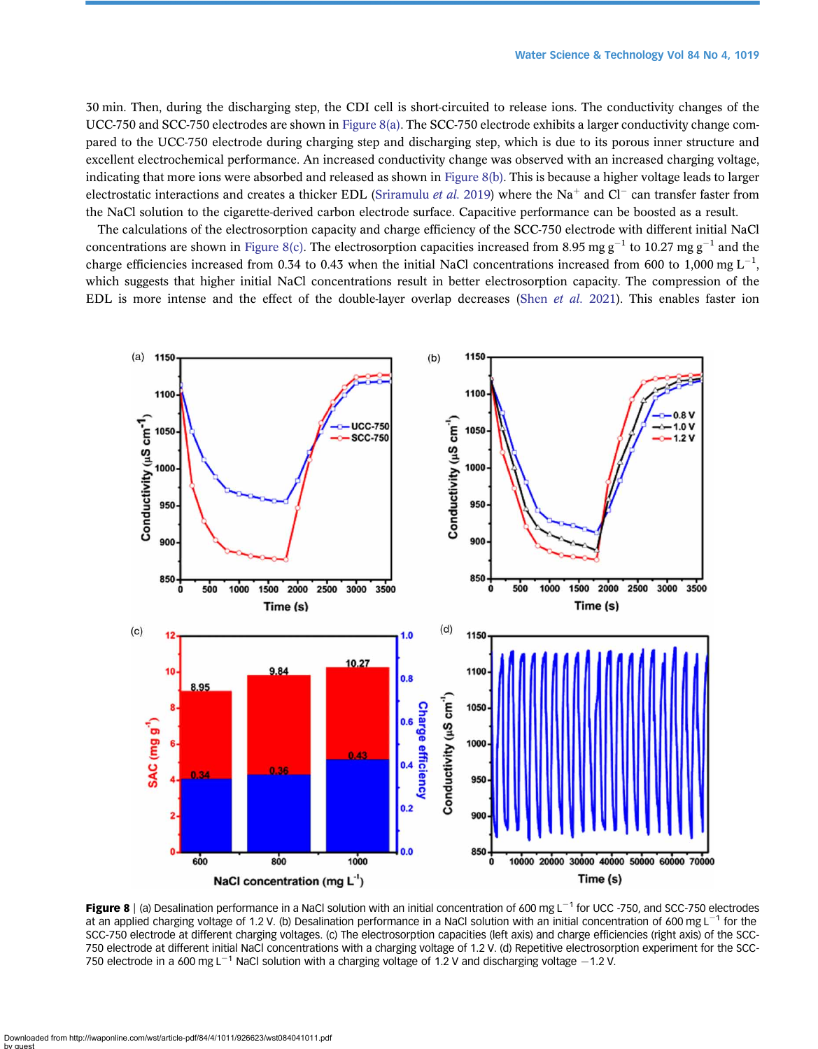<span id="page-8-0"></span>30 min. Then, during the discharging step, the CDI cell is short-circuited to release ions. The conductivity changes of the UCC-750 and SCC-750 electrodes are shown in Figure 8(a). The SCC-750 electrode exhibits a larger conductivity change compared to the UCC-750 electrode during charging step and discharging step, which is due to its porous inner structure and excellent electrochemical performance. An increased conductivity change was observed with an increased charging voltage, indicating that more ions were absorbed and released as shown in Figure 8(b). This is because a higher voltage leads to larger electrostatic interactions and creates a thicker EDL ([Sriramulu](#page-10-0) *et al.* 2019) where the Na<sup>+</sup> and Cl<sup>-</sup> can transfer faster from the NaCl solution to the cigarette-derived carbon electrode surface. Capacitive performance can be boosted as a result.

The calculations of the electrosorption capacity and charge efficiency of the SCC-750 electrode with different initial NaCl concentrations are shown in Figure 8(c). The electrosorption capacities increased from 8.95 mg g<sup>-1</sup> to 10.27 mg g<sup>-1</sup> and the charge efficiencies increased from 0.34 to 0.43 when the initial NaCl concentrations increased from 600 to 1,000 mg  $L^{-1}$ , which suggests that higher initial NaCl concentrations result in better electrosorption capacity. The compression of the EDL is more intense and the effect of the double-layer overlap decreases (Shen [et al.](#page-10-0) 2021). This enables faster ion



Figure 8 | (a) Desalination performance in a NaCl solution with an initial concentration of 600 mg  $L^{-1}$  for UCC -750, and SCC-750 electrodes at an applied charging voltage of 1.2 V. (b) Desalination performance in a NaCl solution with an initial concentration of 600 mg L<sup>-1</sup> for the SCC-750 electrode at different charging voltages. (c) The electrosorption capacities (left axis) and charge efficiencies (right axis) of the SCC-750 electrode at different initial NaCl concentrations with a charging voltage of 1.2 V. (d) Repetitive electrosorption experiment for the SCC-750 electrode in a 600 mg L<sup>-1</sup> NaCl solution with a charging voltage of 1.2 V and discharging voltage  $-1.2$  V.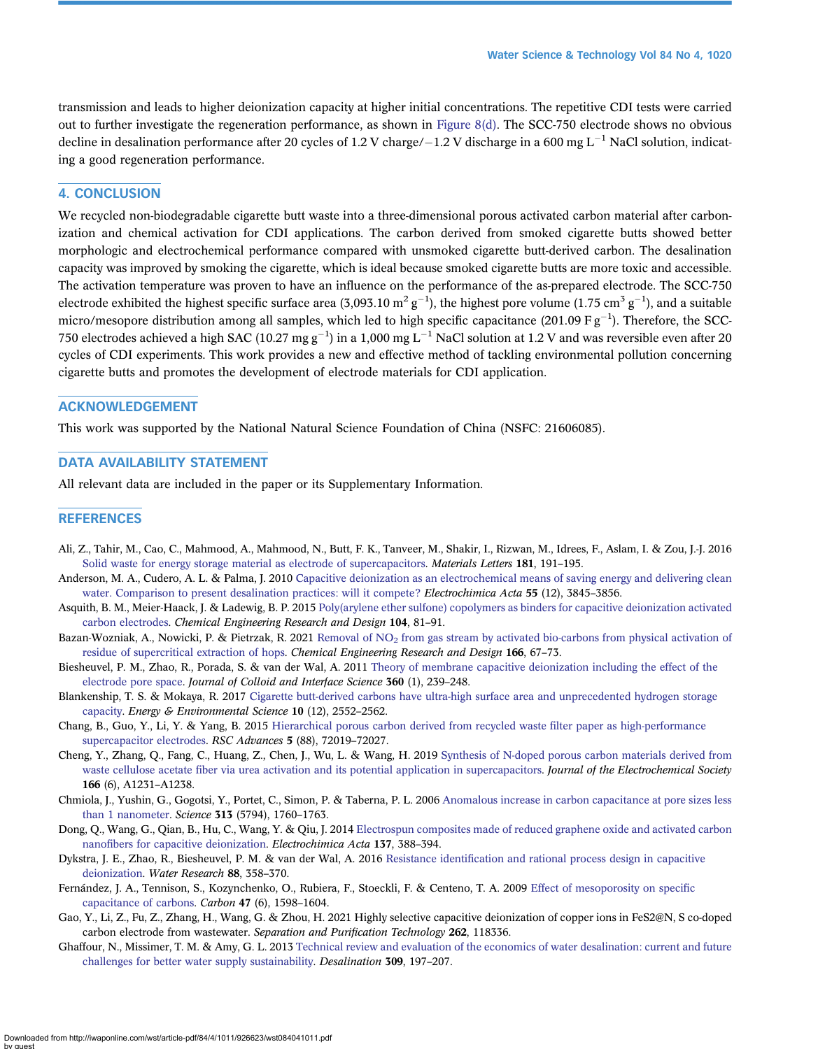<span id="page-9-0"></span>transmission and leads to higher deionization capacity at higher initial concentrations. The repetitive CDI tests were carried out to further investigate the regeneration performance, as shown in [Figure 8\(d\)](#page-8-0). The SCC-750 electrode shows no obvious decline in desalination performance after 20 cycles of 1.2 V charge/ $-1.2$  V discharge in a 600 mg L<sup>-1</sup> NaCl solution, indicating a good regeneration performance.

# 4. CONCLUSION

We recycled non-biodegradable cigarette butt waste into a three-dimensional porous activated carbon material after carbonization and chemical activation for CDI applications. The carbon derived from smoked cigarette butts showed better morphologic and electrochemical performance compared with unsmoked cigarette butt-derived carbon. The desalination capacity was improved by smoking the cigarette, which is ideal because smoked cigarette butts are more toxic and accessible. The activation temperature was proven to have an influence on the performance of the as-prepared electrode. The SCC-750 electrode exhibited the highest specific surface area (3,093.10  $m^2 g^{-1}$ ), the highest pore volume (1.75 cm<sup>3</sup> g<sup>-1</sup>), and a suitable micro/mesopore distribution among all samples, which led to high specific capacitance (201.09 F  $g^{-1}$ ). Therefore, the SCC-750 electrodes achieved a high SAC (10.27 mg g $^{-1}$ ) in a 1,000 mg L $^{-1}$  NaCl solution at 1.2 V and was reversible even after 20 cycles of CDI experiments. This work provides a new and effective method of tackling environmental pollution concerning cigarette butts and promotes the development of electrode materials for CDI application.

# ACKNOWLEDGEMENT

This work was supported by the National Natural Science Foundation of China (NSFC: 21606085).

# DATA AVAILABILITY STATEMENT

All relevant data are included in the paper or its Supplementary Information.

### **REFERENCES**

- Ali, Z., Tahir, M., Cao, C., Mahmood, A., Mahmood, N., Butt, F. K., Tanveer, M., Shakir, I., Rizwan, M., Idrees, F., Aslam, I. & Zou, J.-J. 2016 [Solid waste for energy storage material as electrode of supercapacitors](http://dx.doi.org/10.1016/j.matlet.2016.05.159). Materials Letters 181, 191–195.
- Anderson, M. A., Cudero, A. L. & Palma, J. 2010 [Capacitive deionization as an electrochemical means of saving energy and delivering clean](http://dx.doi.org/10.1016/j.electacta.2010.02.012) [water. Comparison to present desalination practices: will it compete?](http://dx.doi.org/10.1016/j.electacta.2010.02.012) Electrochimica Acta 55 (12), 3845–3856.
- Asquith, B. M., Meier-Haack, J. & Ladewig, B. P. 2015 [Poly\(arylene ether sulfone\) copolymers as binders for capacitive deionization activated](http://dx.doi.org/10.1016/j.cherd.2015.07.020) [carbon electrodes.](http://dx.doi.org/10.1016/j.cherd.2015.07.020) Chemical Engineering Research and Design 104, 81–91.
- Bazan-Wozniak, A., Nowicki, P. & Pietrzak, R. 2021 Removal of NO<sub>2</sub> [from gas stream by activated bio-carbons from physical activation of](http://dx.doi.org/10.1016/j.cherd.2020.11.021) [residue of supercritical extraction of hops](http://dx.doi.org/10.1016/j.cherd.2020.11.021). Chemical Engineering Research and Design 166, 67–73.
- Biesheuvel, P. M., Zhao, R., Porada, S. & van der Wal, A. 2011 [Theory of membrane capacitive deionization including the effect of the](http://dx.doi.org/10.1016/j.jcis.2011.04.049) [electrode pore space](http://dx.doi.org/10.1016/j.jcis.2011.04.049). Journal of Colloid and Interface Science 360 (1), 239–248.
- Blankenship, T. S. & Mokaya, R. 2017 [Cigarette butt-derived carbons have ultra-high surface area and unprecedented hydrogen storage](http://dx.doi.org/10.1039/C7EE02616A) [capacity](http://dx.doi.org/10.1039/C7EE02616A). Energy & Environmental Science 10 (12), 2552–2562.
- Chang, B., Guo, Y., Li, Y. & Yang, B. 2015 [Hierarchical porous carbon derived from recycled waste](http://dx.doi.org/10.1039/C5RA12651G) filter paper as high-performance [supercapacitor electrodes](http://dx.doi.org/10.1039/C5RA12651G). RSC Advances 5 (88), 72019–72027.
- Cheng, Y., Zhang, Q., Fang, C., Huang, Z., Chen, J., Wu, L. & Wang, H. 2019 [Synthesis of N-doped porous carbon materials derived from](http://dx.doi.org/10.1149/2.1081906jes) waste cellulose acetate fi[ber via urea activation and its potential application in supercapacitors.](http://dx.doi.org/10.1149/2.1081906jes) Journal of the Electrochemical Society 166 (6), A1231–A1238.
- Chmiola, J., Yushin, G., Gogotsi, Y., Portet, C., Simon, P. & Taberna, P. L. 2006 [Anomalous increase in carbon capacitance at pore sizes less](http://dx.doi.org/10.1126/science.1132195) [than 1 nanometer](http://dx.doi.org/10.1126/science.1132195). Science 313 (5794), 1760–1763.
- Dong, Q., Wang, G., Qian, B., Hu, C., Wang, Y. & Qiu, J. 2014 [Electrospun composites made of reduced graphene oxide and activated carbon](http://dx.doi.org/10.1016/j.electacta.2014.06.067) nanofi[bers for capacitive deionization](http://dx.doi.org/10.1016/j.electacta.2014.06.067). Electrochimica Acta 137, 388–394.
- Dykstra, J. E., Zhao, R., Biesheuvel, P. M. & van der Wal, A. 2016 Resistance identifi[cation and rational process design in capacitive](http://dx.doi.org/10.1016/j.watres.2015.10.006) [deionization](http://dx.doi.org/10.1016/j.watres.2015.10.006). Water Research 88, 358–370.
- Fernández, J. A., Tennison, S., Kozynchenko, O., Rubiera, F., Stoeckli, F. & Centeno, T. A. 2009 [Effect of mesoporosity on speci](http://dx.doi.org/10.1016/j.carbon.2009.02.012)fic [capacitance of carbons.](http://dx.doi.org/10.1016/j.carbon.2009.02.012) Carbon 47 (6), 1598–1604.
- Gao, Y., Li, Z., Fu, Z., Zhang, H., Wang, G. & Zhou, H. 2021 Highly selective capacitive deionization of copper ions in FeS2@N, S co-doped carbon electrode from wastewater. Separation and Purification Technology 262, 118336.
- Ghaffour, N., Missimer, T. M. & Amy, G. L. 2013 [Technical review and evaluation of the economics of water desalination: current and future](http://dx.doi.org/10.1016/j.desal.2012.10.015) [challenges for better water supply sustainability.](http://dx.doi.org/10.1016/j.desal.2012.10.015) Desalination 309, 197–207.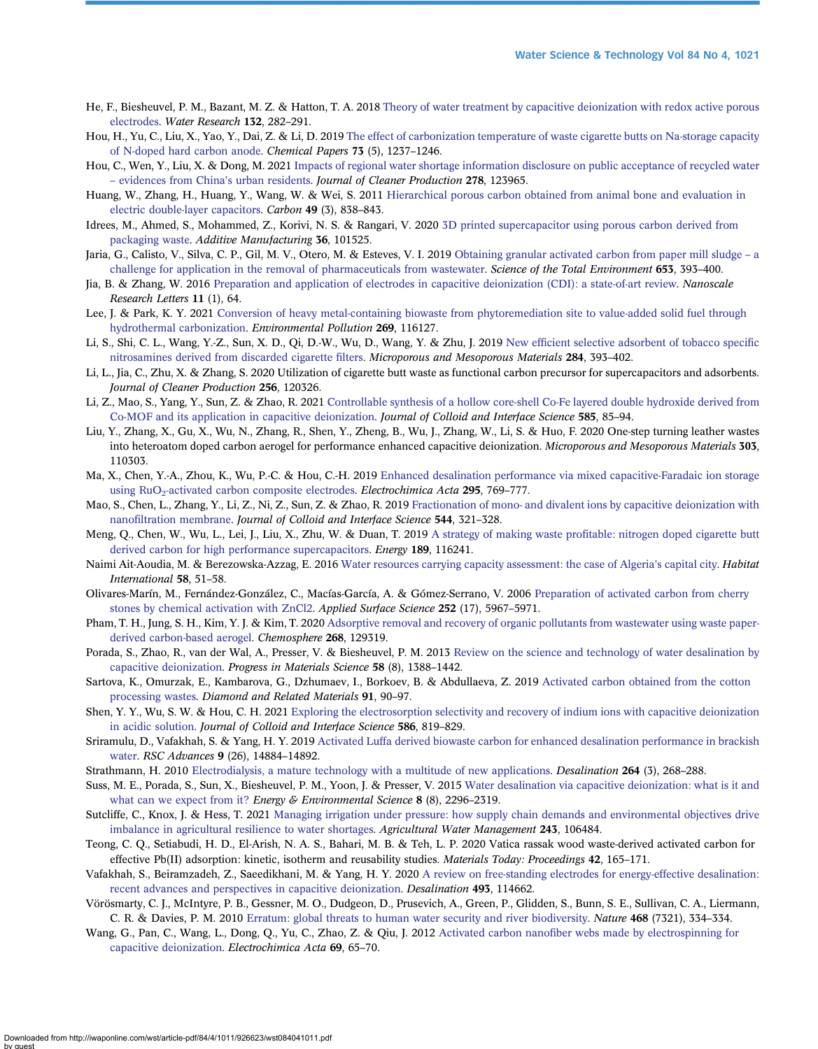- <span id="page-10-0"></span>He, F., Biesheuvel, P. M., Bazant, M. Z. & Hatton, T. A. 2018 [Theory of water treatment by capacitive deionization with redox active porous](http://dx.doi.org/10.1016/j.watres.2017.12.073) [electrodes](http://dx.doi.org/10.1016/j.watres.2017.12.073). Water Research 132, 282–291.
- Hou, H., Yu, C., Liu, X., Yao, Y., Dai, Z. & Li, D. 2019 [The effect of carbonization temperature of waste cigarette butts on Na-storage capacity](http://dx.doi.org/10.1007/s11696-018-00674-w) [of N-doped hard carbon anode](http://dx.doi.org/10.1007/s11696-018-00674-w). Chemical Papers 73 (5), 1237–1246.
- Hou, C., Wen, Y., Liu, X. & Dong, M. 2021 [Impacts of regional water shortage information disclosure on public acceptance of recycled water](http://dx.doi.org/10.1016/j.jclepro.2020.123965) – [evidences from China](http://dx.doi.org/10.1016/j.jclepro.2020.123965)'s urban residents. Journal of Cleaner Production 278, 123965.
- Huang, W., Zhang, H., Huang, Y., Wang, W. & Wei, S. 2011 [Hierarchical porous carbon obtained from animal bone and evaluation in](http://dx.doi.org/10.1016/j.carbon.2010.10.025) [electric double-layer capacitors](http://dx.doi.org/10.1016/j.carbon.2010.10.025). Carbon 49 (3), 838–843.
- Idrees, M., Ahmed, S., Mohammed, Z., Korivi, N. S. & Rangari, V. 2020 [3D printed supercapacitor using porous carbon derived from](http://dx.doi.org/10.1016/j.addma.2020.101525) [packaging waste](http://dx.doi.org/10.1016/j.addma.2020.101525). Additive Manufacturing 36, 101525.
- Jaria, G., Calisto, V., Silva, C. P., Gil, M. V., Otero, M. & Esteves, V. I. 2019 [Obtaining granular activated carbon from paper mill sludge](http://dx.doi.org/10.1016/j.scitotenv.2018.10.346) a [challenge for application in the removal of pharmaceuticals from wastewater](http://dx.doi.org/10.1016/j.scitotenv.2018.10.346). Science of the Total Environment 653, 393–400.
- Jia, B. & Zhang, W. 2016 [Preparation and application of electrodes in capacitive deionization \(CDI\): a state-of-art review](http://dx.doi.org/10.1186/s11671-016-1284-1). Nanoscale Research Letters 11 (1), 64.
- Lee, J. & Park, K. Y. 2021 [Conversion of heavy metal-containing biowaste from phytoremediation site to value-added solid fuel through](http://dx.doi.org/10.1016/j.envpol.2020.116127) [hydrothermal carbonization](http://dx.doi.org/10.1016/j.envpol.2020.116127). Environmental Pollution 269, 116127.
- Li, S., Shi, C. L., Wang, Y.-Z., Sun, X. D., Qi, D.-W., Wu, D., Wang, Y. & Zhu, J. 2019 New effi[cient selective adsorbent of tobacco speci](http://dx.doi.org/10.1016/j.micromeso.2019.04.060)fic [nitrosamines derived from discarded cigarette](http://dx.doi.org/10.1016/j.micromeso.2019.04.060) filters. Microporous and Mesoporous Materials 284, 393–402.
- Li, L., Jia, C., Zhu, X. & Zhang, S. 2020 Utilization of cigarette butt waste as functional carbon precursor for supercapacitors and adsorbents. Journal of Cleaner Production 256, 120326.
- Li, Z., Mao, S., Yang, Y., Sun, Z. & Zhao, R. 2021 [Controllable synthesis of a hollow core-shell Co-Fe layered double hydroxide derived from](http://dx.doi.org/10.1016/j.jcis.2020.11.091) [Co-MOF and its application in capacitive deionization](http://dx.doi.org/10.1016/j.jcis.2020.11.091). Journal of Colloid and Interface Science 585, 85–94.
- Liu, Y., Zhang, X., Gu, X., Wu, N., Zhang, R., Shen, Y., Zheng, B., Wu, J., Zhang, W., Li, S. & Huo, F. 2020 One-step turning leather wastes into heteroatom doped carbon aerogel for performance enhanced capacitive deionization. Microporous and Mesoporous Materials 303, 110303.
- Ma, X., Chen, Y.-A., Zhou, K., Wu, P.-C. & Hou, C.-H. 2019 [Enhanced desalination performance via mixed capacitive-Faradaic ion storage](http://dx.doi.org/10.1016/j.electacta.2018.10.180) using RuO<sub>2</sub>-activated carbon composite electrodes. Electrochimica Acta 295, 769-777.
- Mao, S., Chen, L., Zhang, Y., Li, Z., Ni, Z., Sun, Z. & Zhao, R. 2019 [Fractionation of mono- and divalent ions by capacitive deionization with](http://dx.doi.org/10.1016/j.jcis.2019.02.093) nanofi[ltration membrane](http://dx.doi.org/10.1016/j.jcis.2019.02.093). Journal of Colloid and Interface Science 544, 321–328.
- Meng, Q., Chen, W., Wu, L., Lei, J., Liu, X., Zhu, W. & Duan, T. 2019 A strategy of making waste profi[table: nitrogen doped cigarette butt](http://dx.doi.org/10.1016/j.energy.2019.116241) [derived carbon for high performance supercapacitors](http://dx.doi.org/10.1016/j.energy.2019.116241). Energy 189, 116241.
- Naimi Ait-Aoudia, M. & Berezowska-Azzag, E. 2016 [Water resources carrying capacity assessment: the case of Algeria](http://dx.doi.org/10.1016/j.habitatint.2016.09.006)'s capital city. Habitat International 58, 51–58.

Olivares-Marín, M., Fernández-González, C., Macías-García, A. & Gómez-Serrano, V. 2006 [Preparation of activated carbon from cherry](http://dx.doi.org/10.1016/j.apsusc.2005.11.008) [stones by chemical activation with ZnCl2.](http://dx.doi.org/10.1016/j.apsusc.2005.11.008) Applied Surface Science 252 (17), 5967–5971.

- Pham, T. H., Jung, S. H., Kim, Y. J. & Kim, T. 2020 [Adsorptive removal and recovery of organic pollutants from wastewater using waste paper](http://dx.doi.org/10.1016/j.chemosphere.2020.129319)[derived carbon-based aerogel.](http://dx.doi.org/10.1016/j.chemosphere.2020.129319) Chemosphere 268, 129319.
- Porada, S., Zhao, R., van der Wal, A., Presser, V. & Biesheuvel, P. M. 2013 [Review on the science and technology of water desalination by](http://dx.doi.org/10.1016/j.pmatsci.2013.03.005) [capacitive deionization](http://dx.doi.org/10.1016/j.pmatsci.2013.03.005). Progress in Materials Science 58 (8), 1388–1442.
- Sartova, K., Omurzak, E., Kambarova, G., Dzhumaev, I., Borkoev, B. & Abdullaeva, Z. 2019 [Activated carbon obtained from the cotton](http://dx.doi.org/10.1016/j.diamond.2018.11.011) [processing wastes](http://dx.doi.org/10.1016/j.diamond.2018.11.011). Diamond and Related Materials 91, 90–97.
- Shen, Y. Y., Wu, S. W. & Hou, C. H. 2021 [Exploring the electrosorption selectivity and recovery of indium ions with capacitive deionization](http://dx.doi.org/10.1016/j.jcis.2020.11.006) [in acidic solution.](http://dx.doi.org/10.1016/j.jcis.2020.11.006) Journal of Colloid and Interface Science 586, 819–829.
- Sriramulu, D., Vafakhah, S. & Yang, H. Y. 2019 [Activated Luffa derived biowaste carbon for enhanced desalination performance in brackish](http://dx.doi.org/10.1039/C9RA01872G) [water](http://dx.doi.org/10.1039/C9RA01872G). RSC Advances 9 (26), 14884–14892.
- Strathmann, H. 2010 [Electrodialysis, a mature technology with a multitude of new applications](http://dx.doi.org/10.1016/j.desal.2010.04.069). Desalination 264 (3), 268–288.
- Suss, M. E., Porada, S., Sun, X., Biesheuvel, P. M., Yoon, J. & Presser, V. 2015 [Water desalination via capacitive deionization: what is it and](http://dx.doi.org/10.1039/C5EE00519A) [what can we expect from it?](http://dx.doi.org/10.1039/C5EE00519A) Energy & Environmental Science 8 (8), 2296-2319.
- Sutcliffe, C., Knox, J. & Hess, T. 2021 [Managing irrigation under pressure: how supply chain demands and environmental objectives drive](http://dx.doi.org/10.1016/j.agwat.2020.106484) [imbalance in agricultural resilience to water shortages](http://dx.doi.org/10.1016/j.agwat.2020.106484). Agricultural Water Management 243, 106484.
- Teong, C. Q., Setiabudi, H. D., El-Arish, N. A. S., Bahari, M. B. & Teh, L. P. 2020 Vatica rassak wood waste-derived activated carbon for effective Pb(II) adsorption: kinetic, isotherm and reusability studies. Materials Today: Proceedings 42, 165-171.
- Vafakhah, S., Beiramzadeh, Z., Saeedikhani, M. & Yang, H. Y. 2020 [A review on free-standing electrodes for energy-effective desalination:](http://dx.doi.org/10.1016/j.desal.2020.114662) [recent advances and perspectives in capacitive deionization.](http://dx.doi.org/10.1016/j.desal.2020.114662) Desalination 493, 114662.
- Vörösmarty, C. J., McIntyre, P. B., Gessner, M. O., Dudgeon, D., Prusevich, A., Green, P., Glidden, S., Bunn, S. E., Sullivan, C. A., Liermann, C. R. & Davies, P. M. 2010 [Erratum: global threats to human water security and river biodiversity.](http://dx.doi.org/10.1038/nature09549) Nature 468 (7321), 334–334.
- Wang, G., Pan, C., Wang, L., Dong, Q., Yu, C., Zhao, Z. & Qiu, J. 2012 Activated carbon nanofi[ber webs made by electrospinning for](http://dx.doi.org/10.1016/j.electacta.2012.02.066) [capacitive deionization](http://dx.doi.org/10.1016/j.electacta.2012.02.066). Electrochimica Acta 69, 65–70.

Downloaded from http://iwaponline.com/wst/article-pdf/84/4/1011/926623/wst084041011.pdf by guest